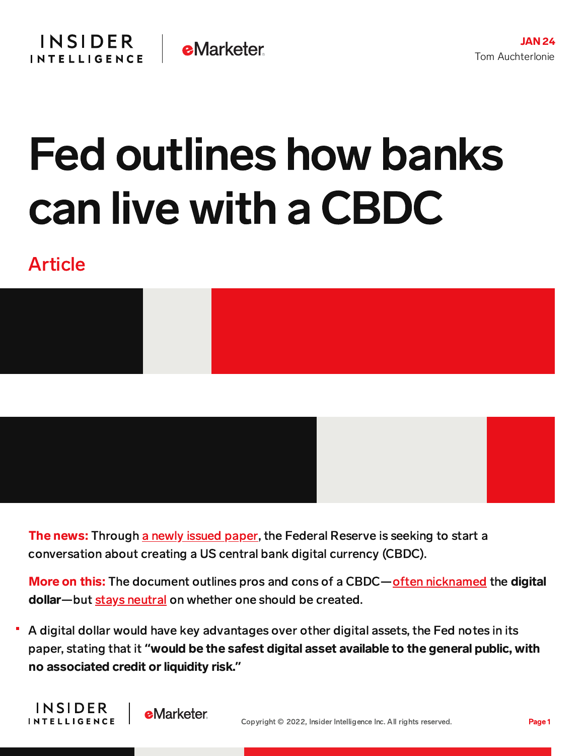## Fed outlines how banks can live with a CBDC

## Article





More on this: The document outlines pros and cons of a CBDC—often [nicknamed](https://www.google.com/search?q=digital+dollar&rlz=1C5CHFA_enUS952US952&oq=digital&aqs=chrome.0.69i59l2j69i57j0i131i433i512j46i199i433i465i512j0i131i433i512j69i60j69i61.898j0j7&sourceid=chrome&ie=UTF-8) the digital dollar—but stays [neutral](https://www.federalreserve.gov/newsevents/pressreleases/other20220120a.htm) on whether one should be created.

A digital dollar would have key advantages over other digital assets, the Fed notes in its paper, stating that it **"**would be the safest digital asset available to the general public, with no associated credit or liquidity risk.**"**

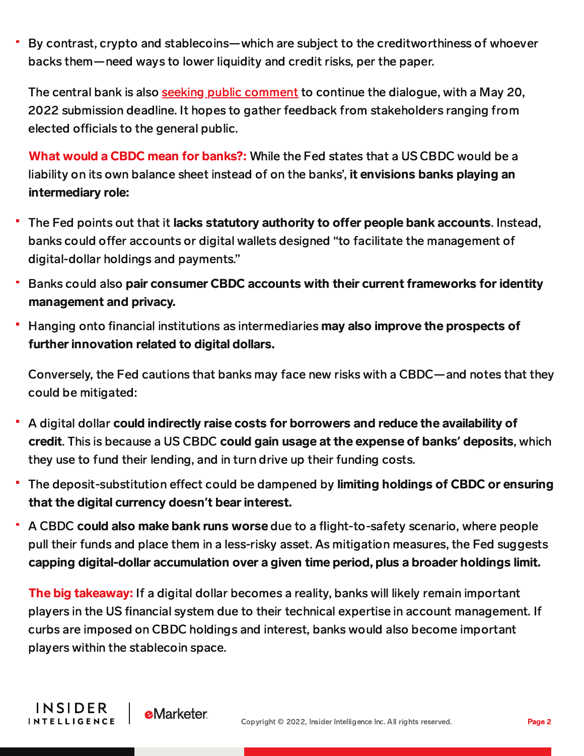By contrast, crypto and stablecoins—which are subject to the creditworthiness of whoever backs them—need ways to lower liquidity and credit risks, per the paper.

The central bank is also seeking public [comment](https://www.federalreserve.gov/apps/forms/cbdc) to continue the dialogue, with a May 20, 2022 submission deadline. It hopes to gather feedback from stakeholders ranging from elected officials to the general public.

What would a CBDC mean for banks?: While the Fed states that a US CBDC would be a liability on its own balance sheet instead of on the banks', it envisions banks playing an intermediary role:

- The Fed points out that it lacks statutory authority to offer people bank accounts. Instead, ٠ banks could offer accounts or digital wallets designed "to facilitate the management of digital-dollar holdings and payments."
- Banks could also pair consumer CBDC accounts with their current frameworks for identity management and privacy.
- Hanging onto financial institutions as intermediaries may also improve the prospects of further innovation related to digital dollars.

Conversely, the Fed cautions that banks may face new risks with a CBDC—and notes that they could be mitigated:

- A digital dollar could indirectly raise costs for borrowers and reduce the availability of credit. This is because a US CBDC could gain usage at the expense of banks**'** deposits, which they use to fund their lending, and in turn drive up their funding costs.
- The deposit-substitution effect could be dampened by limiting holdings of CBDC or ensuring that the digital currency doesn**'**t bear interest.
- u, A CBDC could also make bank runs worse due to a flight-to-safety scenario, where people pull their funds and place them in a less-risky asset. As mitigation measures, the Fed suggests capping digital-dollar accumulation over a given time period, plus a broader holdings limit.

The big takeaway: If a digital dollar becomes a reality, banks will likely remain important players in the US financial system due to their technical expertise in account management. If curbs are imposed on CBDC holdings and interest, banks would also become important players within the stablecoin space.

**INSIDER** 

**INTELLIGENCE** 

**e**Marketer